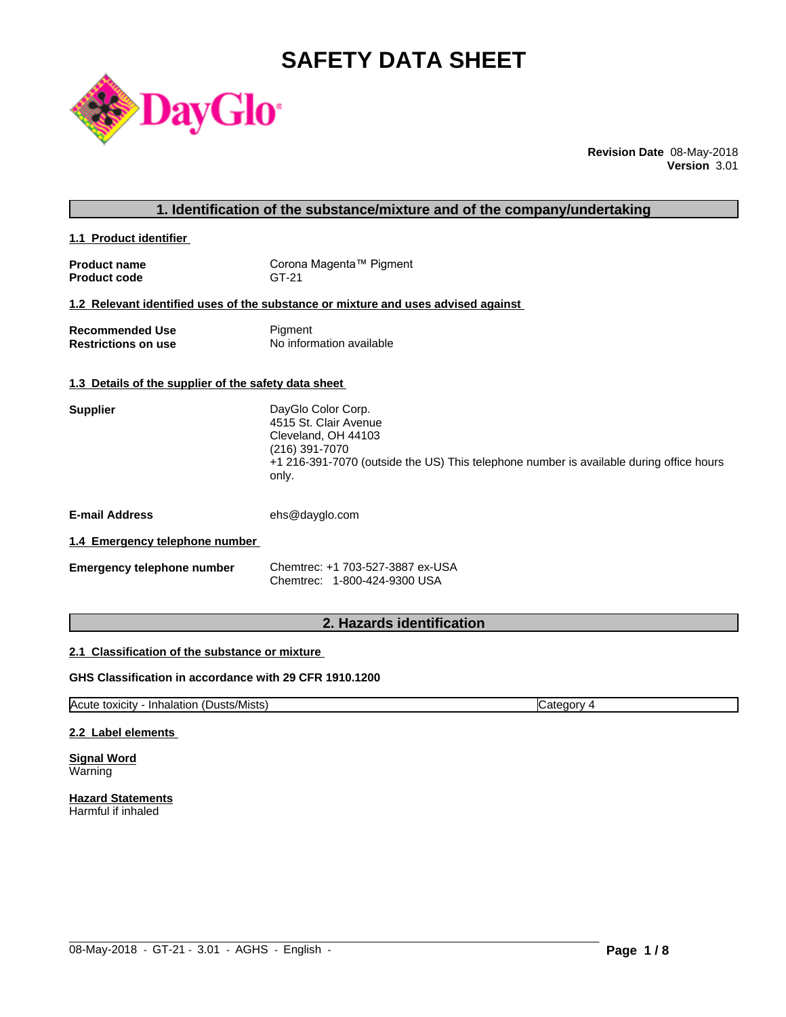# **SAFETY DATA SHEET**



**Revision Date** 08-May-2018 **Version** 3.01

| 1. Identification of the substance/mixture and of the company/undertaking |                                                                                                                                                                                            |  |
|---------------------------------------------------------------------------|--------------------------------------------------------------------------------------------------------------------------------------------------------------------------------------------|--|
| 1.1 Product identifier                                                    |                                                                                                                                                                                            |  |
| <b>Product name</b><br><b>Product code</b>                                | Corona Magenta™ Pigment<br>GT-21                                                                                                                                                           |  |
|                                                                           | 1.2 Relevant identified uses of the substance or mixture and uses advised against                                                                                                          |  |
| <b>Recommended Use</b><br><b>Restrictions on use</b>                      | Pigment<br>No information available                                                                                                                                                        |  |
| 1.3 Details of the supplier of the safety data sheet                      |                                                                                                                                                                                            |  |
| <b>Supplier</b>                                                           | DayGlo Color Corp.<br>4515 St. Clair Avenue<br>Cleveland, OH 44103<br>$(216)$ 391-7070<br>+1 216-391-7070 (outside the US) This telephone number is available during office hours<br>only. |  |
| <b>E-mail Address</b>                                                     | ehs@dayglo.com                                                                                                                                                                             |  |
| 1.4 Emergency telephone number                                            |                                                                                                                                                                                            |  |
| Emergency telephone number                                                | Chemtrec: +1 703-527-3887 ex-USA<br>Chemtrec: 1-800-424-9300 USA                                                                                                                           |  |
|                                                                           | 2. Hazards identification                                                                                                                                                                  |  |

# **2.1 Classification of the substance or mixture**

# **GHS Classification in accordance with 29 CFR 1910.1200**

Acute toxicity - Inhalation (Dusts/Mists) Category 4

 $\_$  ,  $\_$  ,  $\_$  ,  $\_$  ,  $\_$  ,  $\_$  ,  $\_$  ,  $\_$  ,  $\_$  ,  $\_$  ,  $\_$  ,  $\_$  ,  $\_$  ,  $\_$  ,  $\_$  ,  $\_$  ,  $\_$  ,  $\_$  ,  $\_$  ,  $\_$  ,  $\_$  ,  $\_$  ,  $\_$  ,  $\_$  ,  $\_$  ,  $\_$  ,  $\_$  ,  $\_$  ,  $\_$  ,  $\_$  ,  $\_$  ,  $\_$  ,  $\_$  ,  $\_$  ,  $\_$  ,  $\_$  ,  $\_$  ,

# **2.2 Label elements**

**Signal Word** Warning

**Hazard Statements** Harmful if inhaled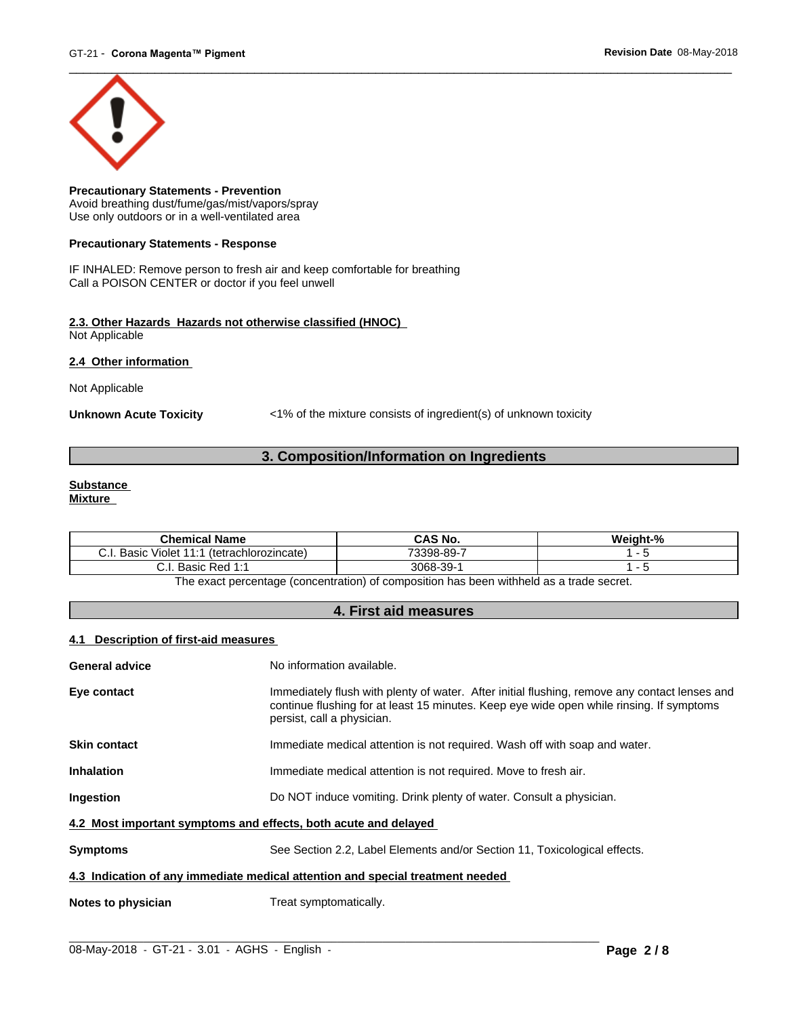

**Precautionary Statements - Prevention** Avoid breathing dust/fume/gas/mist/vapors/spray Use only outdoors or in a well-ventilated area

#### **Precautionary Statements - Response**

IF INHALED: Remove person to fresh air and keep comfortable for breathing Call a POISON CENTER or doctor if you feel unwell

#### **2.3. Other Hazards Hazards not otherwise classified (HNOC)** Not Applicable

**2.4 Other information** 

Not Applicable

**Unknown Acute Toxicity** <1% of the mixture consists of ingredient(s) of unknown toxicity

# **3. Composition/Information on Ingredients**

#### **Substance Mixture**

| <b>Chemical Name</b>                                                          | CAS No.                        | $^{\circ}$ 0/<br> |
|-------------------------------------------------------------------------------|--------------------------------|-------------------|
| ~<br>.<br>Basic<br>$\cdots$<br>(tetrachlorozincate)<br>iuiet.<br>U.I          | 73308<br>3-89                  |                   |
| ~<br>$\sim$<br>◘⌒~<br>Jooin.<br>odSiu 1<br>◡.୲<br>$\sim$ $\sim$ $\sim$<br>. . | $3068 -$<br>$\sim$<br>su-<br>ື |                   |

The exact percentage (concentration) of composition has been withheld as a trade secret.

# **4. First aid measures**

# **4.1 Description of first-aid measures**

| <b>General advice</b>                                                          | No information available.                                                                                                                                                                                               |  |  |
|--------------------------------------------------------------------------------|-------------------------------------------------------------------------------------------------------------------------------------------------------------------------------------------------------------------------|--|--|
| Eye contact                                                                    | Immediately flush with plenty of water. After initial flushing, remove any contact lenses and<br>continue flushing for at least 15 minutes. Keep eye wide open while rinsing. If symptoms<br>persist, call a physician. |  |  |
| <b>Skin contact</b>                                                            | Immediate medical attention is not required. Wash off with soap and water.                                                                                                                                              |  |  |
| <b>Inhalation</b>                                                              | Immediate medical attention is not required. Move to fresh air.                                                                                                                                                         |  |  |
| Ingestion                                                                      | Do NOT induce vomiting. Drink plenty of water. Consult a physician.                                                                                                                                                     |  |  |
| 4.2 Most important symptoms and effects, both acute and delayed                |                                                                                                                                                                                                                         |  |  |
| <b>Symptoms</b>                                                                | See Section 2.2, Label Elements and/or Section 11, Toxicological effects.                                                                                                                                               |  |  |
| 4.3 Indication of any immediate medical attention and special treatment needed |                                                                                                                                                                                                                         |  |  |
| Notes to physician                                                             | Treat symptomatically.                                                                                                                                                                                                  |  |  |
|                                                                                |                                                                                                                                                                                                                         |  |  |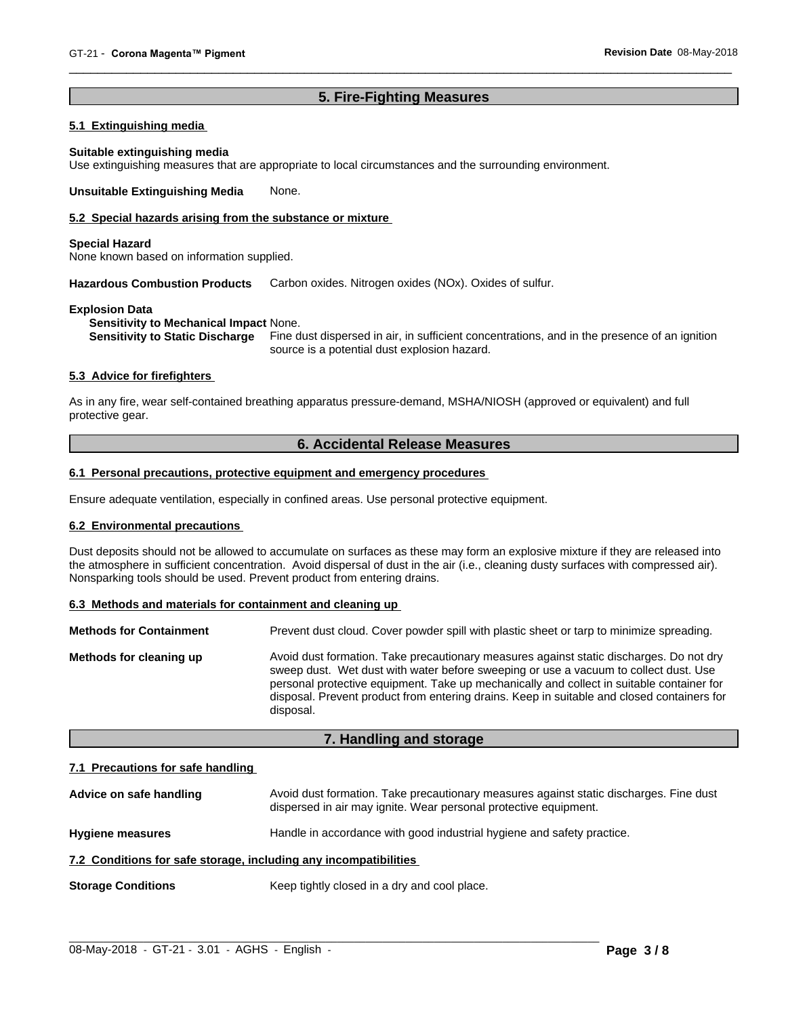# **5. Fire-Fighting Measures**

# **5.1 Extinguishing media**

#### **Suitable extinguishing media**

Use extinguishing measures that are appropriate to local circumstances and the surrounding environment.

**Unsuitable Extinguishing Media** None.

#### **5.2 Special hazards arising from the substance or mixture**

#### **Special Hazard**

None known based on information supplied.

**Hazardous Combustion Products** Carbon oxides. Nitrogen oxides (NOx). Oxides of sulfur.

#### **Explosion Data**

**Sensitivity to Mechanical Impact** None.

**Sensitivity to Static Discharge** Fine dust dispersed in air, in sufficient concentrations, and in the presence of an ignition source is a potential dust explosion hazard.

#### **5.3 Advice for firefighters**

As in any fire, wear self-contained breathing apparatus pressure-demand, MSHA/NIOSH (approved or equivalent) and full protective gear.

# **6. Accidental Release Measures**

#### **6.1 Personal precautions, protective equipment and emergency procedures**

Ensure adequate ventilation, especially in confined areas. Use personal protective equipment.

## **6.2 Environmental precautions**

Dust deposits should not be allowed to accumulate on surfaces as these may form an explosive mixture if they are released into the atmosphere in sufficient concentration. Avoid dispersal of dust in the air (i.e., cleaning dusty surfaces with compressed air). Nonsparking tools should be used. Prevent product from entering drains.

#### **6.3 Methods and materials for containment and cleaning up**

| <b>Methods for Containment</b> | Prevent dust cloud. Cover powder spill with plastic sheet or tarp to minimize spreading.                                                                                                                                                                                                                                                                                                |
|--------------------------------|-----------------------------------------------------------------------------------------------------------------------------------------------------------------------------------------------------------------------------------------------------------------------------------------------------------------------------------------------------------------------------------------|
| Methods for cleaning up        | Avoid dust formation. Take precautionary measures against static discharges. Do not dry<br>sweep dust. Wet dust with water before sweeping or use a vacuum to collect dust. Use<br>personal protective equipment. Take up mechanically and collect in suitable container for<br>disposal. Prevent product from entering drains. Keep in suitable and closed containers for<br>disposal. |

# **7. Handling and storage**

#### **7.1 Precautions for safe handling**

| Advice on safe handling                                          | Avoid dust formation. Take precautionary measures against static discharges. Fine dust<br>dispersed in air may ignite. Wear personal protective equipment. |  |  |
|------------------------------------------------------------------|------------------------------------------------------------------------------------------------------------------------------------------------------------|--|--|
| <b>Hygiene measures</b>                                          | Handle in accordance with good industrial hygiene and safety practice.                                                                                     |  |  |
| 7.2 Conditions for safe storage, including any incompatibilities |                                                                                                                                                            |  |  |
| <b>Storage Conditions</b>                                        | Keep tightly closed in a dry and cool place.                                                                                                               |  |  |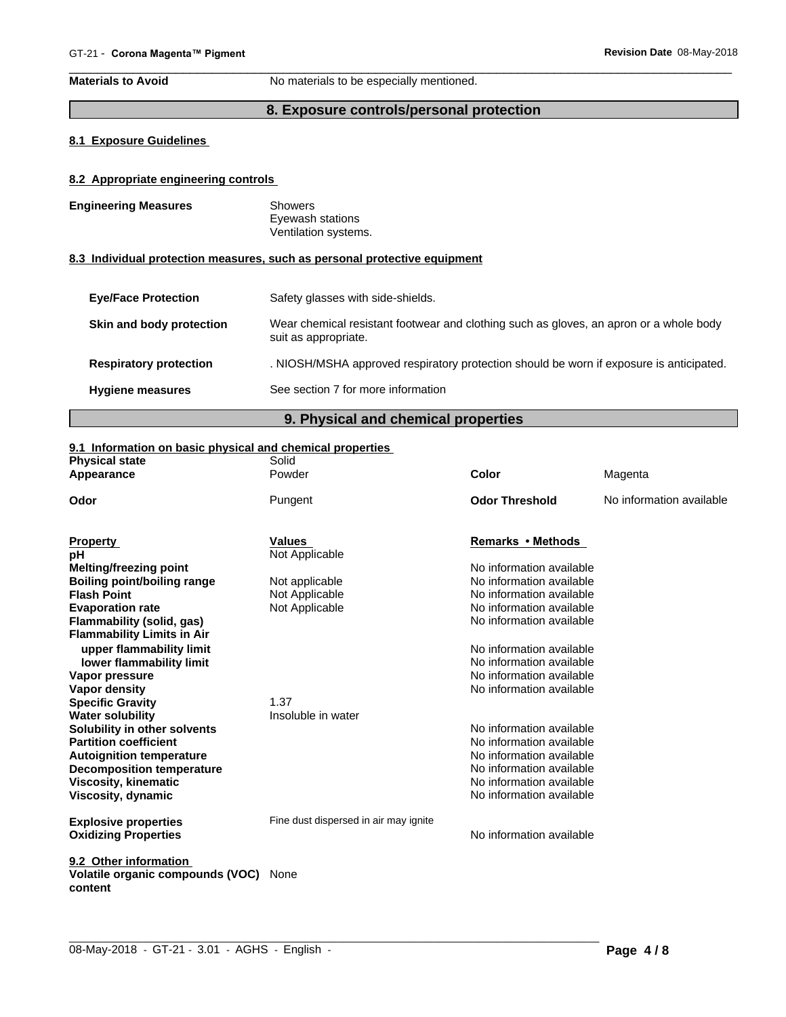**Materials to Avoid** No materials to be especially mentioned.

# **8. Exposure controls/personal protection**

# **8.1 Exposure Guidelines**

# **8.2 Appropriate engineering controls**

| <b>Engineering Measures</b> | Showers<br>Eyewash stations<br>Ventilation systems. |
|-----------------------------|-----------------------------------------------------|
|                             |                                                     |

# **8.3 Individual protection measures, such as personal protective equipment**

| <b>Eye/Face Protection</b>    | Safety glasses with side-shields.                                                                              |
|-------------------------------|----------------------------------------------------------------------------------------------------------------|
| Skin and body protection      | Wear chemical resistant footwear and clothing such as gloves, an apron or a whole body<br>suit as appropriate. |
| <b>Respiratory protection</b> | . NIOSH/MSHA approved respiratory protection should be worn if exposure is anticipated.                        |
| <b>Hygiene measures</b>       | See section 7 for more information                                                                             |
|                               |                                                                                                                |

# **9. Physical and chemical properties**

# **9.1 Information on basic physical and chemical properties**

| <b>Physical state</b>                       | Solid                                 |                          |                          |
|---------------------------------------------|---------------------------------------|--------------------------|--------------------------|
| Appearance                                  | Powder                                | <b>Color</b>             | Magenta                  |
| Odor                                        | Pungent                               | <b>Odor Threshold</b>    | No information available |
| <b>Property</b>                             | <b>Values</b>                         | Remarks • Methods        |                          |
| рH                                          | Not Applicable                        |                          |                          |
| <b>Melting/freezing point</b>               |                                       | No information available |                          |
| <b>Boiling point/boiling range</b>          | Not applicable                        | No information available |                          |
| <b>Flash Point</b>                          | Not Applicable                        | No information available |                          |
| <b>Evaporation rate</b>                     | Not Applicable                        | No information available |                          |
| Flammability (solid, gas)                   |                                       | No information available |                          |
| <b>Flammability Limits in Air</b>           |                                       |                          |                          |
| upper flammability limit                    |                                       | No information available |                          |
| lower flammability limit                    |                                       | No information available |                          |
| Vapor pressure                              |                                       | No information available |                          |
| <b>Vapor density</b>                        |                                       | No information available |                          |
| <b>Specific Gravity</b>                     | 1.37                                  |                          |                          |
| <b>Water solubility</b>                     | Insoluble in water                    |                          |                          |
| Solubility in other solvents                |                                       | No information available |                          |
| <b>Partition coefficient</b>                |                                       | No information available |                          |
| <b>Autoignition temperature</b>             |                                       | No information available |                          |
| <b>Decomposition temperature</b>            |                                       | No information available |                          |
| <b>Viscosity, kinematic</b>                 |                                       | No information available |                          |
| Viscosity, dynamic                          |                                       | No information available |                          |
| <b>Explosive properties</b>                 | Fine dust dispersed in air may ignite |                          |                          |
| <b>Oxidizing Properties</b>                 |                                       | No information available |                          |
|                                             |                                       |                          |                          |
| 9.2 Other information                       |                                       |                          |                          |
| Volatile organic compounds (VOC)<br>content | None                                  |                          |                          |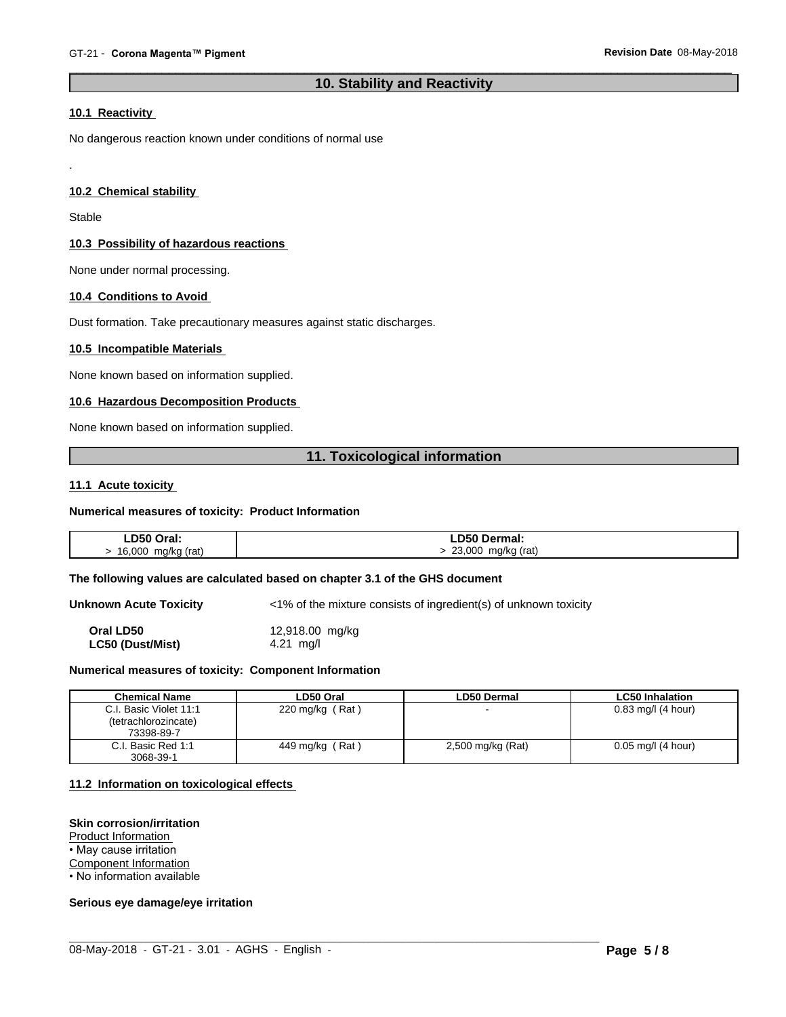# **10. Stability and Reactivity**

#### **10.1 Reactivity**

No dangerous reaction known under conditions of normal use

#### **10.2 Chemical stability**

**Stable** 

.

#### **10.3 Possibility of hazardous reactions**

None under normal processing.

## **10.4 Conditions to Avoid**

Dust formation. Take precautionary measures against static discharges.

#### **10.5 Incompatible Materials**

None known based on information supplied.

# **10.6 Hazardous Decomposition Products**

None known based on information supplied.

# **11. Toxicological information**

#### **11.1 Acute toxicity**

#### **Numerical measures of toxicity: Product Information**

| <b>LD50 Oral:</b>  | ∟D50 Dermal:            |
|--------------------|-------------------------|
| 16,000 mg/kg (rat) | 23,000 mg/kg (rat)<br>ີ |

#### **The following values are calculated based on chapter 3.1 of the GHS document**

**Unknown Acute Toxicity**  $\langle 1\% \rangle$  of the mixture consists of ingredient(s) of unknown toxicity

**Oral LD50** 12,918.00 mg/kg **LC50 (Dust/Mist)** 4.21 mg/l

#### **Numerical measures of toxicity: Component Information**

| <b>Chemical Name</b>     | ∟D50 Oral          | <b>LD50 Dermal</b> | <b>LC50 Inhalation</b> |
|--------------------------|--------------------|--------------------|------------------------|
| C.I. Basic Violet 11:1   | (Rat)<br>220 mg/kg |                    | $0.83$ mg/l (4 hour)   |
| (tetrachlorozincate)     |                    |                    |                        |
| 73398-89-7               |                    |                    |                        |
| l. Basic Red 1:1<br>C.I. | Rat)<br>449 mg/kg  | 2,500 mg/kg (Rat)  | $0.05$ mg/l (4 hour)   |
| 3068-39-1                |                    |                    |                        |

 $\_$  ,  $\_$  ,  $\_$  ,  $\_$  ,  $\_$  ,  $\_$  ,  $\_$  ,  $\_$  ,  $\_$  ,  $\_$  ,  $\_$  ,  $\_$  ,  $\_$  ,  $\_$  ,  $\_$  ,  $\_$  ,  $\_$  ,  $\_$  ,  $\_$  ,  $\_$  ,  $\_$  ,  $\_$  ,  $\_$  ,  $\_$  ,  $\_$  ,  $\_$  ,  $\_$  ,  $\_$  ,  $\_$  ,  $\_$  ,  $\_$  ,  $\_$  ,  $\_$  ,  $\_$  ,  $\_$  ,  $\_$  ,  $\_$  ,

#### **11.2 Information on toxicologicaleffects**

#### **Skin corrosion/irritation**

Product Information

• May cause irritation

Component Information

• No information available

#### **Serious eye damage/eye irritation**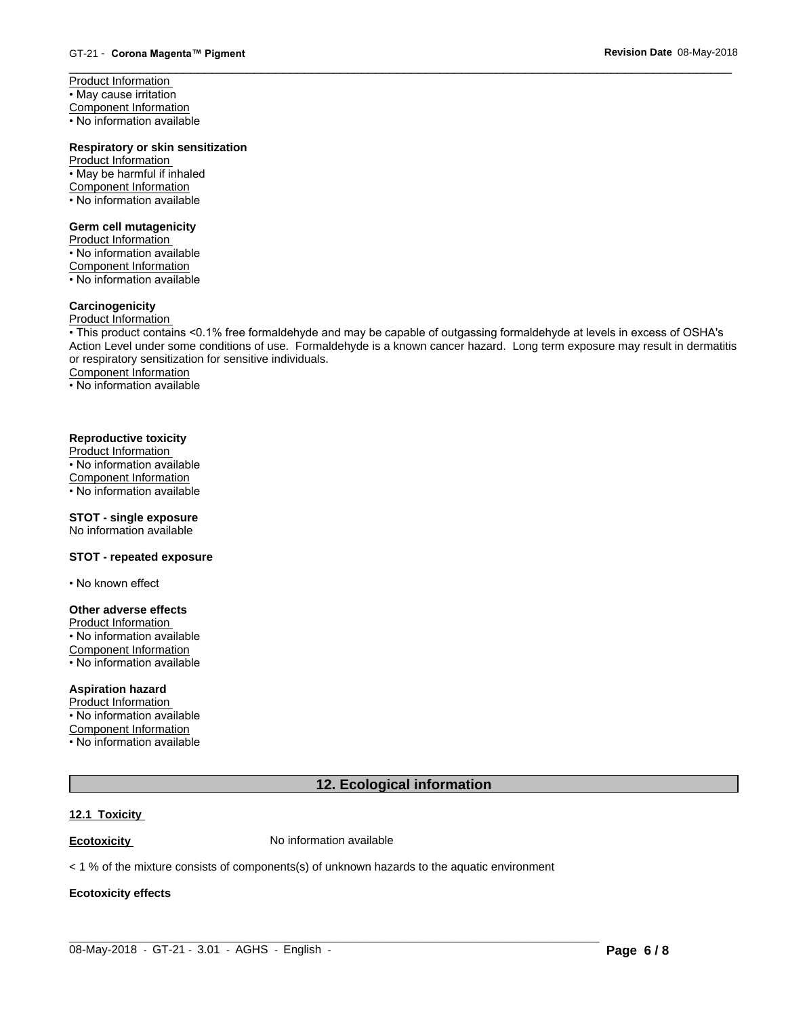Product Information • May cause irritation Component Information • No information available

# **Respiratory or skin sensitization**

Product Information • May be harmful if inhaled Component Information • No information available

#### **Germ cell mutagenicity**

Product Information • No information available Component Information • No information available

# **Carcinogenicity**

# Product Information

• This product contains <0.1% free formaldehyde and may be capable of outgassing formaldehyde at levels in excess of OSHA's Action Level under some conditions of use. Formaldehyde is a known cancer hazard. Long term exposure may result in dermatitis or respiratory sensitization for sensitive individuals.Component Information

• No information available

#### **Reproductive toxicity**

Product Information • No information available Component Information • No information available

# **STOT - single exposure**

No information available

### **STOT - repeated exposure**

• No known effect

#### **Other adverse effects**

Product Information

• No information available Component Information • No information available

# **Aspiration hazard**

Product Information • No information available Component Information • No information available

# **12. Ecological information**

#### **12.1 Toxicity**

**Ecotoxicity No information available** 

 $<$  1 % of the mixture consists of components(s) of unknown hazards to the aquatic environment

# **Ecotoxicity effects**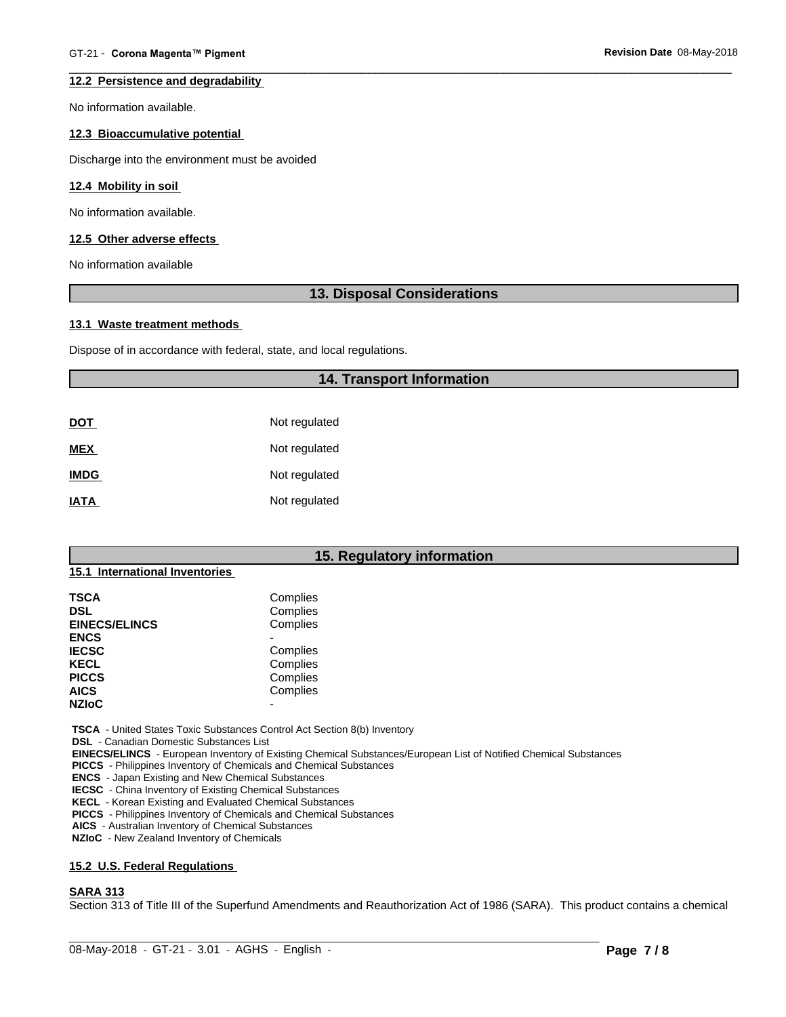#### **12.2 Persistence and degradability**

No information available.

#### **12.3 Bioaccumulative potential**

Discharge into the environment must be avoided

#### **12.4 Mobility in soil**

No information available.

#### **12.5 Other adverse effects**

No information available

# **13. Disposal Considerations**

#### **13.1 Waste treatment methods**

Dispose of in accordance with federal, state, and local regulations.

#### **14. Transport Information**

| DOT         | Not regulated |
|-------------|---------------|
| <b>MEX</b>  | Not regulated |
| <b>IMDG</b> | Not regulated |
| <b>IATA</b> | Not regulated |

# **15. Regulatory information**

# **15.1 International Inventories**

| TSCA                 | Complies |  |
|----------------------|----------|--|
| DSL                  | Complies |  |
| <b>EINECS/ELINCS</b> | Complies |  |
| <b>ENCS</b>          |          |  |
| <b>IECSC</b>         | Complies |  |
| KECL                 | Complies |  |
| <b>PICCS</b>         | Complies |  |
| <b>AICS</b>          | Complies |  |
| <b>NZIoC</b>         | -        |  |
|                      |          |  |

 **TSCA** - United States Toxic Substances Control Act Section 8(b) Inventory

 **DSL** - Canadian Domestic Substances List

 **EINECS/ELINCS** - European Inventory of Existing Chemical Substances/European List of Notified Chemical Substances

 **PICCS** - Philippines Inventory of Chemicals and Chemical Substances

 **ENCS** - Japan Existing and New Chemical Substances

 **IECSC** - China Inventory of Existing Chemical Substances

 **KECL** - Korean Existing and Evaluated Chemical Substances

 **PICCS** - Philippines Inventory of Chemicals and Chemical Substances

 **AICS** - Australian Inventory of Chemical Substances

 **NZIoC** - New Zealand Inventory of Chemicals

#### **15.2 U.S. Federal Regulations**

#### **SARA 313**

Section 313 of Title III of the Superfund Amendments and Reauthorization Act of 1986 (SARA). This product contains a chemical